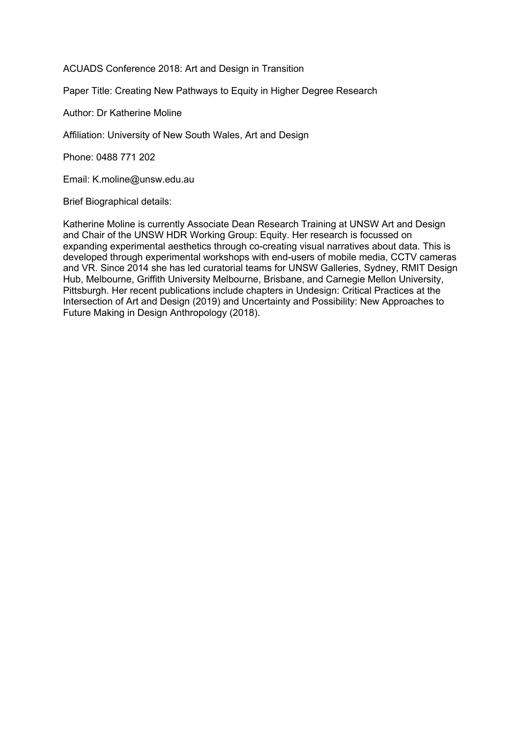ACUADS Conference 2018: Art and Design in Transition

Paper Title: Creating New Pathways to Equity in Higher Degree Research

Author: Dr Katherine Moline

Affiliation: University of New South Wales, Art and Design

Phone: 0488 771 202

Email: K.moline@unsw.edu.au

Brief Biographical details:

Katherine Moline is currently Associate Dean Research Training at UNSW Art and Design and Chair of the UNSW HDR Working Group: Equity. Her research is focussed on expanding experimental aesthetics through co-creating visual narratives about data. This is developed through experimental workshops with end-users of mobile media, CCTV cameras and VR. Since 2014 she has led curatorial teams for UNSW Galleries, Sydney, RMIT Design Hub, Melbourne, Griffith University Melbourne, Brisbane, and Carnegie Mellon University, Pittsburgh. Her recent publications include chapters in Undesign: Critical Practices at the Intersection of Art and Design (2019) and Uncertainty and Possibility: New Approaches to Future Making in Design Anthropology (2018).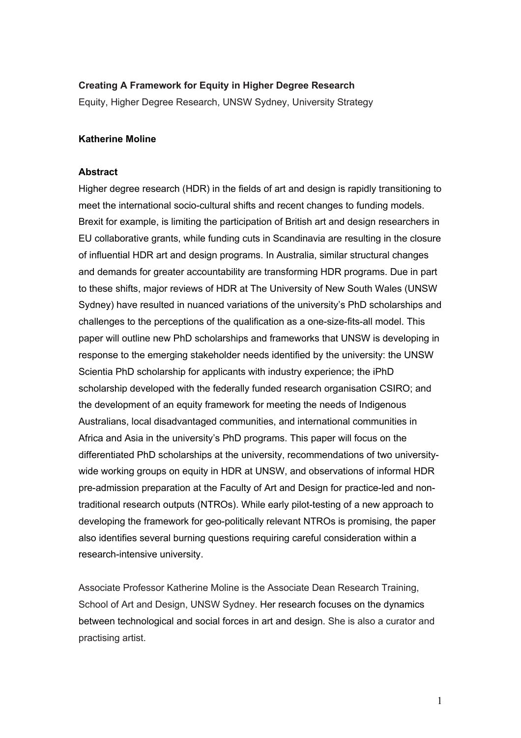### **Creating A Framework for Equity in Higher Degree Research**

Equity, Higher Degree Research, UNSW Sydney, University Strategy

### **Katherine Moline**

### **Abstract**

Higher degree research (HDR) in the fields of art and design is rapidly transitioning to meet the international socio-cultural shifts and recent changes to funding models. Brexit for example, is limiting the participation of British art and design researchers in EU collaborative grants, while funding cuts in Scandinavia are resulting in the closure of influential HDR art and design programs. In Australia, similar structural changes and demands for greater accountability are transforming HDR programs. Due in part to these shifts, major reviews of HDR at The University of New South Wales (UNSW Sydney) have resulted in nuanced variations of the university's PhD scholarships and challenges to the perceptions of the qualification as a one-size-fits-all model. This paper will outline new PhD scholarships and frameworks that UNSW is developing in response to the emerging stakeholder needs identified by the university: the UNSW Scientia PhD scholarship for applicants with industry experience; the iPhD scholarship developed with the federally funded research organisation CSIRO; and the development of an equity framework for meeting the needs of Indigenous Australians, local disadvantaged communities, and international communities in Africa and Asia in the university's PhD programs. This paper will focus on the differentiated PhD scholarships at the university, recommendations of two universitywide working groups on equity in HDR at UNSW, and observations of informal HDR pre-admission preparation at the Faculty of Art and Design for practice-led and nontraditional research outputs (NTROs). While early pilot-testing of a new approach to developing the framework for geo-politically relevant NTROs is promising, the paper also identifies several burning questions requiring careful consideration within a research-intensive university.

Associate Professor Katherine Moline is the Associate Dean Research Training, School of Art and Design, UNSW Sydney. Her research focuses on the dynamics between technological and social forces in art and design. She is also a curator and practising artist.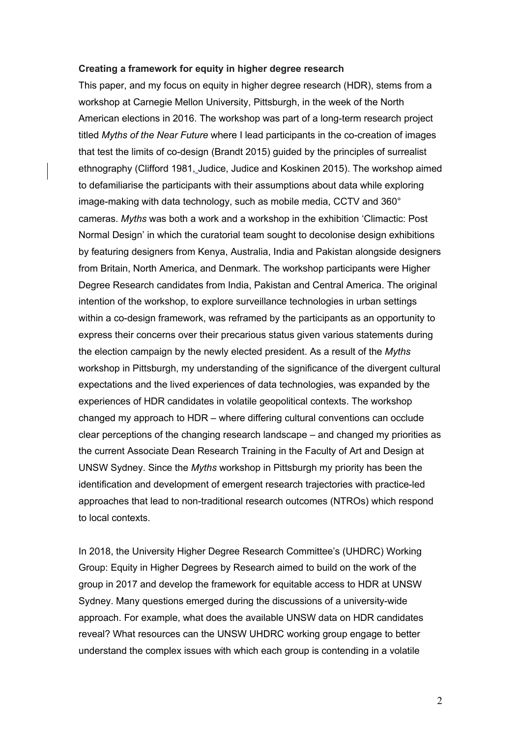#### **Creating a framework for equity in higher degree research**

This paper, and my focus on equity in higher degree research (HDR), stems from a workshop at Carnegie Mellon University, Pittsburgh, in the week of the North American elections in 2016. The workshop was part of a long-term research project titled *Myths of the Near Future* where I lead participants in the co-creation of images that test the limits of co-design (Brandt 2015) guided by the principles of surrealist ethnography (Clifford 1981, Judice, Judice and Koskinen 2015). The workshop aimed to defamiliarise the participants with their assumptions about data while exploring image-making with data technology, such as mobile media, CCTV and 360° cameras. *Myths* was both a work and a workshop in the exhibition 'Climactic: Post Normal Design' in which the curatorial team sought to decolonise design exhibitions by featuring designers from Kenya, Australia, India and Pakistan alongside designers from Britain, North America, and Denmark. The workshop participants were Higher Degree Research candidates from India, Pakistan and Central America. The original intention of the workshop, to explore surveillance technologies in urban settings within a co-design framework, was reframed by the participants as an opportunity to express their concerns over their precarious status given various statements during the election campaign by the newly elected president. As a result of the *Myths*  workshop in Pittsburgh, my understanding of the significance of the divergent cultural expectations and the lived experiences of data technologies, was expanded by the experiences of HDR candidates in volatile geopolitical contexts. The workshop changed my approach to HDR – where differing cultural conventions can occlude clear perceptions of the changing research landscape – and changed my priorities as the current Associate Dean Research Training in the Faculty of Art and Design at UNSW Sydney. Since the *Myths* workshop in Pittsburgh my priority has been the identification and development of emergent research trajectories with practice-led approaches that lead to non-traditional research outcomes (NTROs) which respond to local contexts.

In 2018, the University Higher Degree Research Committee's (UHDRC) Working Group: Equity in Higher Degrees by Research aimed to build on the work of the group in 2017 and develop the framework for equitable access to HDR at UNSW Sydney. Many questions emerged during the discussions of a university-wide approach. For example, what does the available UNSW data on HDR candidates reveal? What resources can the UNSW UHDRC working group engage to better understand the complex issues with which each group is contending in a volatile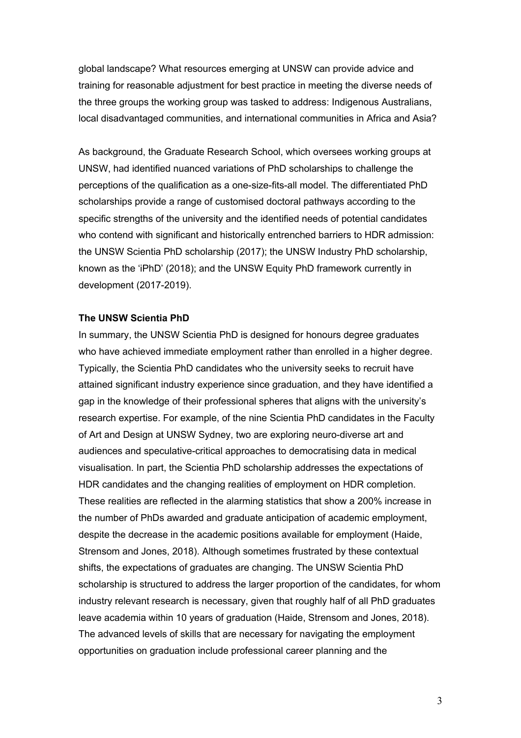global landscape? What resources emerging at UNSW can provide advice and training for reasonable adjustment for best practice in meeting the diverse needs of the three groups the working group was tasked to address: Indigenous Australians, local disadvantaged communities, and international communities in Africa and Asia?

As background, the Graduate Research School, which oversees working groups at UNSW, had identified nuanced variations of PhD scholarships to challenge the perceptions of the qualification as a one-size-fits-all model. The differentiated PhD scholarships provide a range of customised doctoral pathways according to the specific strengths of the university and the identified needs of potential candidates who contend with significant and historically entrenched barriers to HDR admission: the UNSW Scientia PhD scholarship (2017); the UNSW Industry PhD scholarship, known as the 'iPhD' (2018); and the UNSW Equity PhD framework currently in development (2017-2019).

### **The UNSW Scientia PhD**

In summary, the UNSW Scientia PhD is designed for honours degree graduates who have achieved immediate employment rather than enrolled in a higher degree. Typically, the Scientia PhD candidates who the university seeks to recruit have attained significant industry experience since graduation, and they have identified a gap in the knowledge of their professional spheres that aligns with the university's research expertise. For example, of the nine Scientia PhD candidates in the Faculty of Art and Design at UNSW Sydney, two are exploring neuro-diverse art and audiences and speculative-critical approaches to democratising data in medical visualisation. In part, the Scientia PhD scholarship addresses the expectations of HDR candidates and the changing realities of employment on HDR completion. These realities are reflected in the alarming statistics that show a 200% increase in the number of PhDs awarded and graduate anticipation of academic employment, despite the decrease in the academic positions available for employment (Haide, Strensom and Jones, 2018). Although sometimes frustrated by these contextual shifts, the expectations of graduates are changing. The UNSW Scientia PhD scholarship is structured to address the larger proportion of the candidates, for whom industry relevant research is necessary, given that roughly half of all PhD graduates leave academia within 10 years of graduation (Haide, Strensom and Jones, 2018). The advanced levels of skills that are necessary for navigating the employment opportunities on graduation include professional career planning and the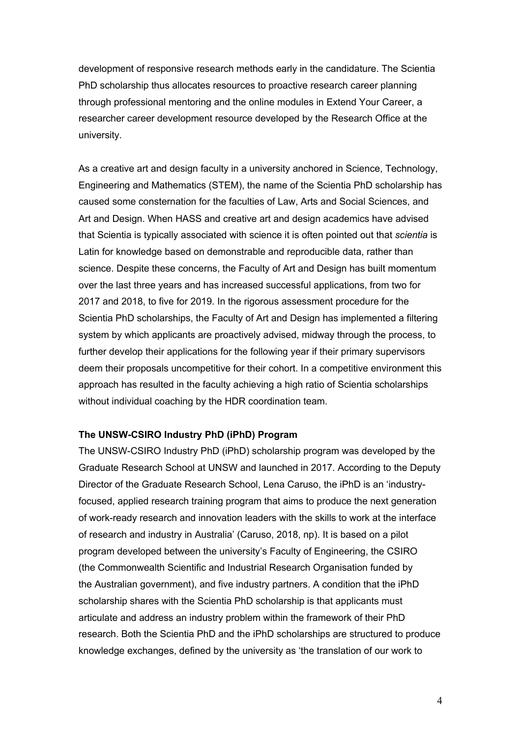development of responsive research methods early in the candidature. The Scientia PhD scholarship thus allocates resources to proactive research career planning through professional mentoring and the online modules in Extend Your Career, a researcher career development resource developed by the Research Office at the university.

As a creative art and design faculty in a university anchored in Science, Technology, Engineering and Mathematics (STEM), the name of the Scientia PhD scholarship has caused some consternation for the faculties of Law, Arts and Social Sciences, and Art and Design. When HASS and creative art and design academics have advised that Scientia is typically associated with science it is often pointed out that *scientia* is Latin for knowledge based on demonstrable and reproducible data, rather than science. Despite these concerns, the Faculty of Art and Design has built momentum over the last three years and has increased successful applications, from two for 2017 and 2018, to five for 2019. In the rigorous assessment procedure for the Scientia PhD scholarships, the Faculty of Art and Design has implemented a filtering system by which applicants are proactively advised, midway through the process, to further develop their applications for the following year if their primary supervisors deem their proposals uncompetitive for their cohort. In a competitive environment this approach has resulted in the faculty achieving a high ratio of Scientia scholarships without individual coaching by the HDR coordination team.

### **The UNSW-CSIRO Industry PhD (iPhD) Program**

The UNSW-CSIRO Industry PhD (iPhD) scholarship program was developed by the Graduate Research School at UNSW and launched in 2017. According to the Deputy Director of the Graduate Research School, Lena Caruso, the iPhD is an 'industryfocused, applied research training program that aims to produce the next generation of work-ready research and innovation leaders with the skills to work at the interface of research and industry in Australia' (Caruso, 2018, np). It is based on a pilot program developed between the university's Faculty of Engineering, the CSIRO (the Commonwealth Scientific and Industrial Research Organisation funded by the Australian government), and five industry partners. A condition that the iPhD scholarship shares with the Scientia PhD scholarship is that applicants must articulate and address an industry problem within the framework of their PhD research. Both the Scientia PhD and the iPhD scholarships are structured to produce knowledge exchanges, defined by the university as 'the translation of our work to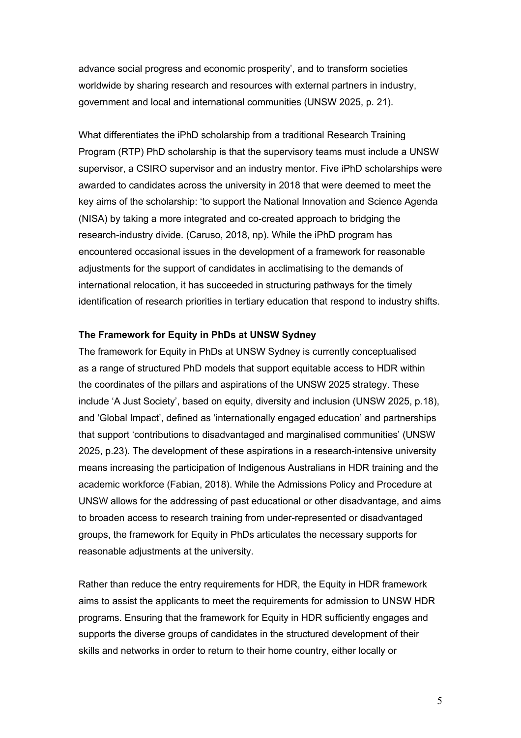advance social progress and economic prosperity', and to transform societies worldwide by sharing research and resources with external partners in industry, government and local and international communities (UNSW 2025, p. 21).

What differentiates the iPhD scholarship from a traditional Research Training Program (RTP) PhD scholarship is that the supervisory teams must include a UNSW supervisor, a CSIRO supervisor and an industry mentor. Five iPhD scholarships were awarded to candidates across the university in 2018 that were deemed to meet the key aims of the scholarship: 'to support the National Innovation and Science Agenda (NISA) by taking a more integrated and co-created approach to bridging the research-industry divide. (Caruso, 2018, np). While the iPhD program has encountered occasional issues in the development of a framework for reasonable adjustments for the support of candidates in acclimatising to the demands of international relocation, it has succeeded in structuring pathways for the timely identification of research priorities in tertiary education that respond to industry shifts.

### **The Framework for Equity in PhDs at UNSW Sydney**

The framework for Equity in PhDs at UNSW Sydney is currently conceptualised as a range of structured PhD models that support equitable access to HDR within the coordinates of the pillars and aspirations of the UNSW 2025 strategy. These include 'A Just Society', based on equity, diversity and inclusion (UNSW 2025, p.18), and 'Global Impact', defined as 'internationally engaged education' and partnerships that support 'contributions to disadvantaged and marginalised communities' (UNSW 2025, p.23). The development of these aspirations in a research-intensive university means increasing the participation of Indigenous Australians in HDR training and the academic workforce (Fabian, 2018). While the Admissions Policy and Procedure at UNSW allows for the addressing of past educational or other disadvantage, and aims to broaden access to research training from under-represented or disadvantaged groups, the framework for Equity in PhDs articulates the necessary supports for reasonable adjustments at the university.

Rather than reduce the entry requirements for HDR, the Equity in HDR framework aims to assist the applicants to meet the requirements for admission to UNSW HDR programs. Ensuring that the framework for Equity in HDR sufficiently engages and supports the diverse groups of candidates in the structured development of their skills and networks in order to return to their home country, either locally or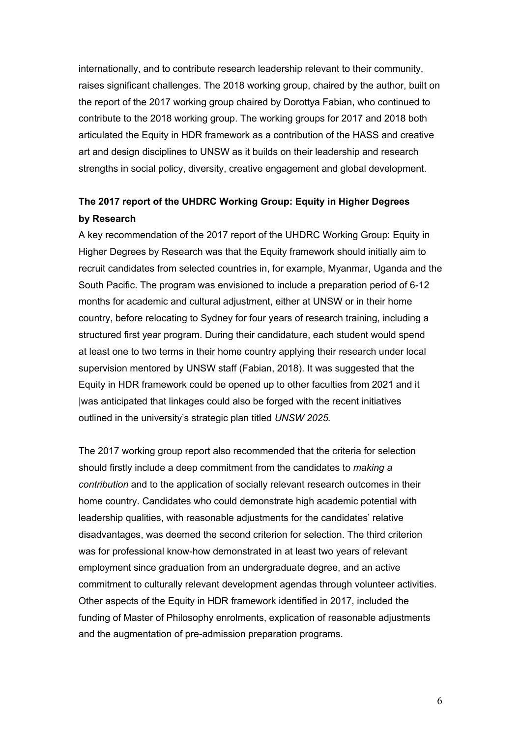internationally, and to contribute research leadership relevant to their community, raises significant challenges. The 2018 working group, chaired by the author, built on the report of the 2017 working group chaired by Dorottya Fabian, who continued to contribute to the 2018 working group. The working groups for 2017 and 2018 both articulated the Equity in HDR framework as a contribution of the HASS and creative art and design disciplines to UNSW as it builds on their leadership and research strengths in social policy, diversity, creative engagement and global development.

# **The 2017 report of the UHDRC Working Group: Equity in Higher Degrees by Research**

A key recommendation of the 2017 report of the UHDRC Working Group: Equity in Higher Degrees by Research was that the Equity framework should initially aim to recruit candidates from selected countries in, for example, Myanmar, Uganda and the South Pacific. The program was envisioned to include a preparation period of 6-12 months for academic and cultural adjustment, either at UNSW or in their home country, before relocating to Sydney for four years of research training, including a structured first year program. During their candidature, each student would spend at least one to two terms in their home country applying their research under local supervision mentored by UNSW staff (Fabian, 2018). It was suggested that the Equity in HDR framework could be opened up to other faculties from 2021 and it |was anticipated that linkages could also be forged with the recent initiatives outlined in the university's strategic plan titled *UNSW 2025.*

The 2017 working group report also recommended that the criteria for selection should firstly include a deep commitment from the candidates to *making a contribution* and to the application of socially relevant research outcomes in their home country. Candidates who could demonstrate high academic potential with leadership qualities, with reasonable adjustments for the candidates' relative disadvantages, was deemed the second criterion for selection. The third criterion was for professional know-how demonstrated in at least two years of relevant employment since graduation from an undergraduate degree, and an active commitment to culturally relevant development agendas through volunteer activities. Other aspects of the Equity in HDR framework identified in 2017, included the funding of Master of Philosophy enrolments, explication of reasonable adjustments and the augmentation of pre-admission preparation programs.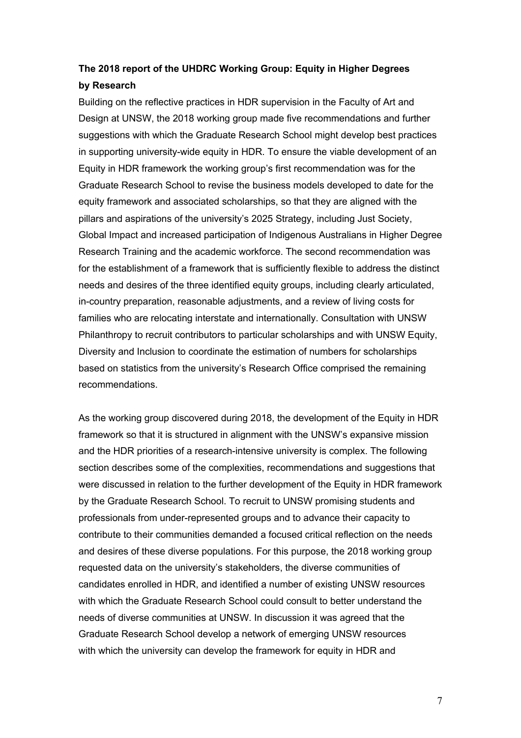# **The 2018 report of the UHDRC Working Group: Equity in Higher Degrees by Research**

Building on the reflective practices in HDR supervision in the Faculty of Art and Design at UNSW, the 2018 working group made five recommendations and further suggestions with which the Graduate Research School might develop best practices in supporting university-wide equity in HDR. To ensure the viable development of an Equity in HDR framework the working group's first recommendation was for the Graduate Research School to revise the business models developed to date for the equity framework and associated scholarships, so that they are aligned with the pillars and aspirations of the university's 2025 Strategy, including Just Society, Global Impact and increased participation of Indigenous Australians in Higher Degree Research Training and the academic workforce. The second recommendation was for the establishment of a framework that is sufficiently flexible to address the distinct needs and desires of the three identified equity groups, including clearly articulated, in-country preparation, reasonable adjustments, and a review of living costs for families who are relocating interstate and internationally. Consultation with UNSW Philanthropy to recruit contributors to particular scholarships and with UNSW Equity, Diversity and Inclusion to coordinate the estimation of numbers for scholarships based on statistics from the university's Research Office comprised the remaining recommendations.

As the working group discovered during 2018, the development of the Equity in HDR framework so that it is structured in alignment with the UNSW's expansive mission and the HDR priorities of a research-intensive university is complex. The following section describes some of the complexities, recommendations and suggestions that were discussed in relation to the further development of the Equity in HDR framework by the Graduate Research School. To recruit to UNSW promising students and professionals from under-represented groups and to advance their capacity to contribute to their communities demanded a focused critical reflection on the needs and desires of these diverse populations. For this purpose, the 2018 working group requested data on the university's stakeholders, the diverse communities of candidates enrolled in HDR, and identified a number of existing UNSW resources with which the Graduate Research School could consult to better understand the needs of diverse communities at UNSW. In discussion it was agreed that the Graduate Research School develop a network of emerging UNSW resources with which the university can develop the framework for equity in HDR and

7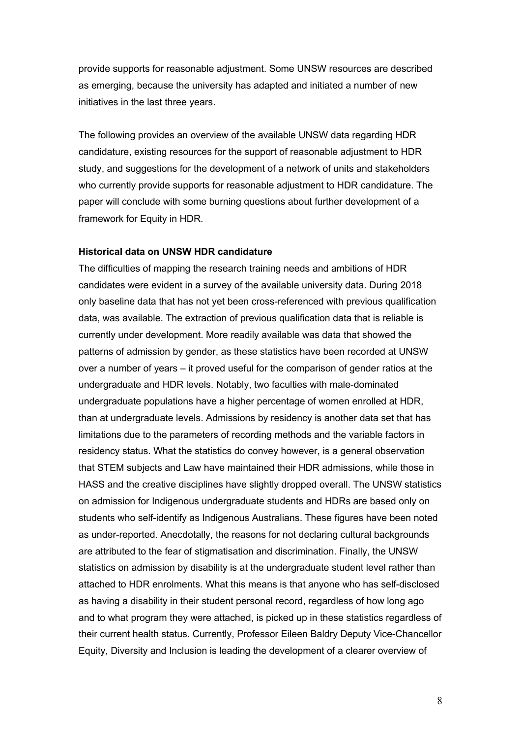provide supports for reasonable adjustment. Some UNSW resources are described as emerging, because the university has adapted and initiated a number of new initiatives in the last three years.

The following provides an overview of the available UNSW data regarding HDR candidature, existing resources for the support of reasonable adjustment to HDR study, and suggestions for the development of a network of units and stakeholders who currently provide supports for reasonable adjustment to HDR candidature. The paper will conclude with some burning questions about further development of a framework for Equity in HDR.

### **Historical data on UNSW HDR candidature**

The difficulties of mapping the research training needs and ambitions of HDR candidates were evident in a survey of the available university data. During 2018 only baseline data that has not yet been cross-referenced with previous qualification data, was available. The extraction of previous qualification data that is reliable is currently under development. More readily available was data that showed the patterns of admission by gender, as these statistics have been recorded at UNSW over a number of years – it proved useful for the comparison of gender ratios at the undergraduate and HDR levels. Notably, two faculties with male-dominated undergraduate populations have a higher percentage of women enrolled at HDR, than at undergraduate levels. Admissions by residency is another data set that has limitations due to the parameters of recording methods and the variable factors in residency status. What the statistics do convey however, is a general observation that STEM subjects and Law have maintained their HDR admissions, while those in HASS and the creative disciplines have slightly dropped overall. The UNSW statistics on admission for Indigenous undergraduate students and HDRs are based only on students who self-identify as Indigenous Australians. These figures have been noted as under-reported. Anecdotally, the reasons for not declaring cultural backgrounds are attributed to the fear of stigmatisation and discrimination. Finally, the UNSW statistics on admission by disability is at the undergraduate student level rather than attached to HDR enrolments. What this means is that anyone who has self-disclosed as having a disability in their student personal record, regardless of how long ago and to what program they were attached, is picked up in these statistics regardless of their current health status. Currently, Professor Eileen Baldry Deputy Vice-Chancellor Equity, Diversity and Inclusion is leading the development of a clearer overview of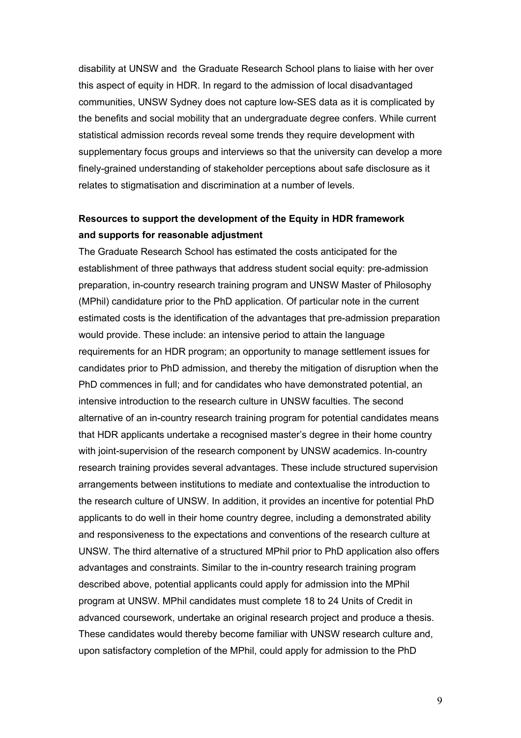disability at UNSW and the Graduate Research School plans to liaise with her over this aspect of equity in HDR. In regard to the admission of local disadvantaged communities, UNSW Sydney does not capture low-SES data as it is complicated by the benefits and social mobility that an undergraduate degree confers. While current statistical admission records reveal some trends they require development with supplementary focus groups and interviews so that the university can develop a more finely-grained understanding of stakeholder perceptions about safe disclosure as it relates to stigmatisation and discrimination at a number of levels.

## **Resources to support the development of the Equity in HDR framework and supports for reasonable adjustment**

The Graduate Research School has estimated the costs anticipated for the establishment of three pathways that address student social equity: pre-admission preparation, in-country research training program and UNSW Master of Philosophy (MPhil) candidature prior to the PhD application. Of particular note in the current estimated costs is the identification of the advantages that pre-admission preparation would provide. These include: an intensive period to attain the language requirements for an HDR program; an opportunity to manage settlement issues for candidates prior to PhD admission, and thereby the mitigation of disruption when the PhD commences in full; and for candidates who have demonstrated potential, an intensive introduction to the research culture in UNSW faculties. The second alternative of an in-country research training program for potential candidates means that HDR applicants undertake a recognised master's degree in their home country with joint-supervision of the research component by UNSW academics. In-country research training provides several advantages. These include structured supervision arrangements between institutions to mediate and contextualise the introduction to the research culture of UNSW. In addition, it provides an incentive for potential PhD applicants to do well in their home country degree, including a demonstrated ability and responsiveness to the expectations and conventions of the research culture at UNSW. The third alternative of a structured MPhil prior to PhD application also offers advantages and constraints. Similar to the in-country research training program described above, potential applicants could apply for admission into the MPhil program at UNSW. MPhil candidates must complete 18 to 24 Units of Credit in advanced coursework, undertake an original research project and produce a thesis. These candidates would thereby become familiar with UNSW research culture and, upon satisfactory completion of the MPhil, could apply for admission to the PhD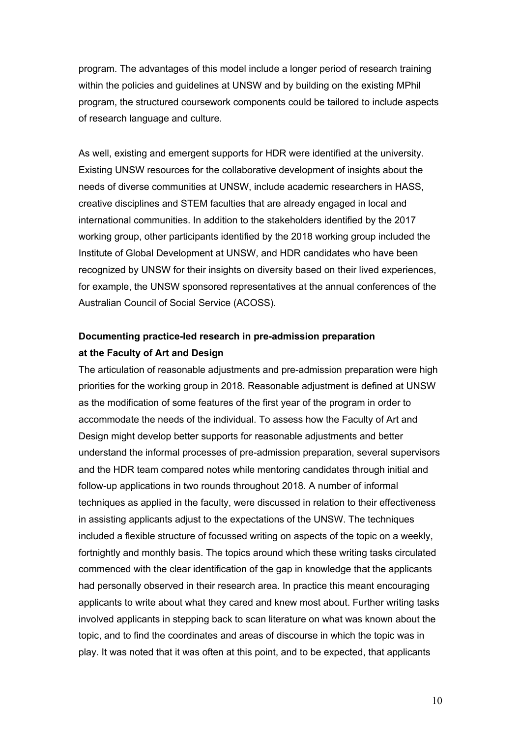program. The advantages of this model include a longer period of research training within the policies and guidelines at UNSW and by building on the existing MPhil program, the structured coursework components could be tailored to include aspects of research language and culture.

As well, existing and emergent supports for HDR were identified at the university. Existing UNSW resources for the collaborative development of insights about the needs of diverse communities at UNSW, include academic researchers in HASS, creative disciplines and STEM faculties that are already engaged in local and international communities. In addition to the stakeholders identified by the 2017 working group, other participants identified by the 2018 working group included the Institute of Global Development at UNSW, and HDR candidates who have been recognized by UNSW for their insights on diversity based on their lived experiences, for example, the UNSW sponsored representatives at the annual conferences of the Australian Council of Social Service (ACOSS).

## **Documenting practice-led research in pre-admission preparation at the Faculty of Art and Design**

The articulation of reasonable adjustments and pre-admission preparation were high priorities for the working group in 2018. Reasonable adjustment is defined at UNSW as the modification of some features of the first year of the program in order to accommodate the needs of the individual. To assess how the Faculty of Art and Design might develop better supports for reasonable adjustments and better understand the informal processes of pre-admission preparation, several supervisors and the HDR team compared notes while mentoring candidates through initial and follow-up applications in two rounds throughout 2018. A number of informal techniques as applied in the faculty, were discussed in relation to their effectiveness in assisting applicants adjust to the expectations of the UNSW. The techniques included a flexible structure of focussed writing on aspects of the topic on a weekly, fortnightly and monthly basis. The topics around which these writing tasks circulated commenced with the clear identification of the gap in knowledge that the applicants had personally observed in their research area. In practice this meant encouraging applicants to write about what they cared and knew most about. Further writing tasks involved applicants in stepping back to scan literature on what was known about the topic, and to find the coordinates and areas of discourse in which the topic was in play. It was noted that it was often at this point, and to be expected, that applicants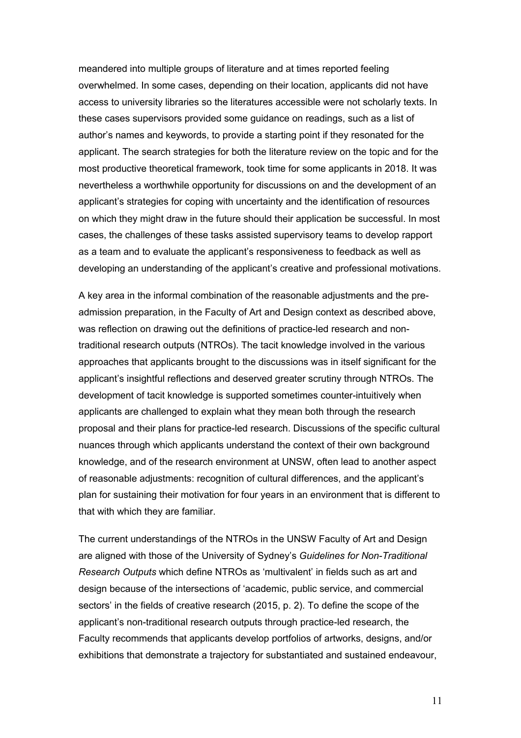meandered into multiple groups of literature and at times reported feeling overwhelmed. In some cases, depending on their location, applicants did not have access to university libraries so the literatures accessible were not scholarly texts. In these cases supervisors provided some guidance on readings, such as a list of author's names and keywords, to provide a starting point if they resonated for the applicant. The search strategies for both the literature review on the topic and for the most productive theoretical framework, took time for some applicants in 2018. It was nevertheless a worthwhile opportunity for discussions on and the development of an applicant's strategies for coping with uncertainty and the identification of resources on which they might draw in the future should their application be successful. In most cases, the challenges of these tasks assisted supervisory teams to develop rapport as a team and to evaluate the applicant's responsiveness to feedback as well as developing an understanding of the applicant's creative and professional motivations.

A key area in the informal combination of the reasonable adjustments and the preadmission preparation, in the Faculty of Art and Design context as described above, was reflection on drawing out the definitions of practice-led research and nontraditional research outputs (NTROs). The tacit knowledge involved in the various approaches that applicants brought to the discussions was in itself significant for the applicant's insightful reflections and deserved greater scrutiny through NTROs. The development of tacit knowledge is supported sometimes counter-intuitively when applicants are challenged to explain what they mean both through the research proposal and their plans for practice-led research. Discussions of the specific cultural nuances through which applicants understand the context of their own background knowledge, and of the research environment at UNSW, often lead to another aspect of reasonable adjustments: recognition of cultural differences, and the applicant's plan for sustaining their motivation for four years in an environment that is different to that with which they are familiar.

The current understandings of the NTROs in the UNSW Faculty of Art and Design are aligned with those of the University of Sydney's *Guidelines for Non-Traditional Research Outputs* which define NTROs as 'multivalent' in fields such as art and design because of the intersections of 'academic, public service, and commercial sectors' in the fields of creative research (2015, p. 2). To define the scope of the applicant's non-traditional research outputs through practice-led research, the Faculty recommends that applicants develop portfolios of artworks, designs, and/or exhibitions that demonstrate a trajectory for substantiated and sustained endeavour,

11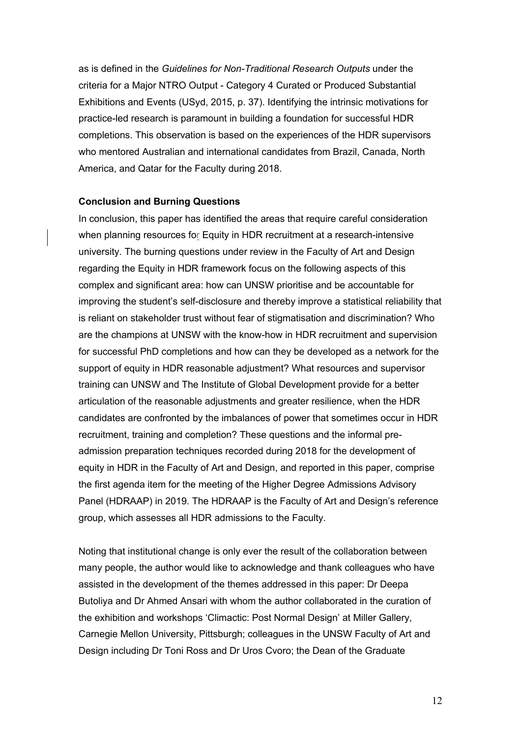as is defined in the *Guidelines for Non-Traditional Research Outputs* under the criteria for a Major NTRO Output - Category 4 Curated or Produced Substantial Exhibitions and Events (USyd, 2015, p. 37). Identifying the intrinsic motivations for practice-led research is paramount in building a foundation for successful HDR completions. This observation is based on the experiences of the HDR supervisors who mentored Australian and international candidates from Brazil, Canada, North America, and Qatar for the Faculty during 2018.

#### **Conclusion and Burning Questions**

In conclusion, this paper has identified the areas that require careful consideration when planning resources for Equity in HDR recruitment at a research-intensive university. The burning questions under review in the Faculty of Art and Design regarding the Equity in HDR framework focus on the following aspects of this complex and significant area: how can UNSW prioritise and be accountable for improving the student's self-disclosure and thereby improve a statistical reliability that is reliant on stakeholder trust without fear of stigmatisation and discrimination? Who are the champions at UNSW with the know-how in HDR recruitment and supervision for successful PhD completions and how can they be developed as a network for the support of equity in HDR reasonable adjustment? What resources and supervisor training can UNSW and The Institute of Global Development provide for a better articulation of the reasonable adjustments and greater resilience, when the HDR candidates are confronted by the imbalances of power that sometimes occur in HDR recruitment, training and completion? These questions and the informal preadmission preparation techniques recorded during 2018 for the development of equity in HDR in the Faculty of Art and Design, and reported in this paper, comprise the first agenda item for the meeting of the Higher Degree Admissions Advisory Panel (HDRAAP) in 2019. The HDRAAP is the Faculty of Art and Design's reference group, which assesses all HDR admissions to the Faculty.

Noting that institutional change is only ever the result of the collaboration between many people, the author would like to acknowledge and thank colleagues who have assisted in the development of the themes addressed in this paper: Dr Deepa Butoliya and Dr Ahmed Ansari with whom the author collaborated in the curation of the exhibition and workshops 'Climactic: Post Normal Design' at Miller Gallery, Carnegie Mellon University, Pittsburgh; colleagues in the UNSW Faculty of Art and Design including Dr Toni Ross and Dr Uros Cvoro; the Dean of the Graduate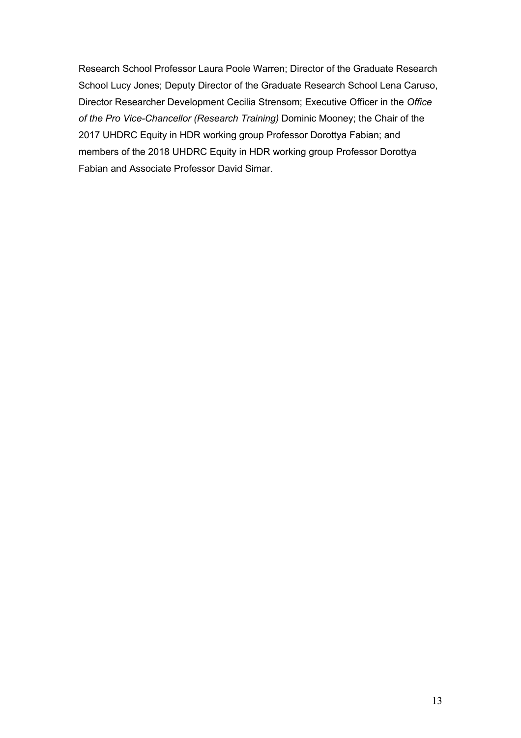Research School Professor Laura Poole Warren; Director of the Graduate Research School Lucy Jones; Deputy Director of the Graduate Research School Lena Caruso, Director Researcher Development Cecilia Strensom; Executive Officer in the *Office of the Pro Vice-Chancellor (Research Training)* Dominic Mooney; the Chair of the 2017 UHDRC Equity in HDR working group Professor Dorottya Fabian; and members of the 2018 UHDRC Equity in HDR working group Professor Dorottya Fabian and Associate Professor David Simar.